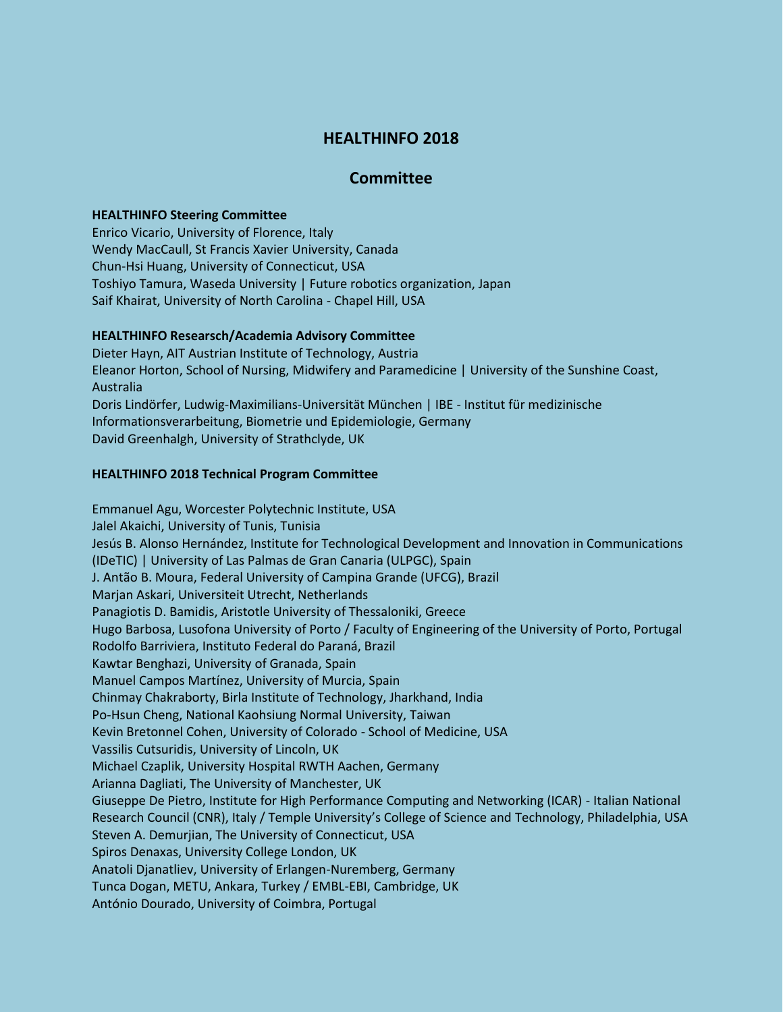# **HEALTHINFO 2018**

## **Committee**

#### **HEALTHINFO Steering Committee**

Enrico Vicario, University of Florence, Italy Wendy MacCaull, St Francis Xavier University, Canada Chun-Hsi Huang, University of Connecticut, USA Toshiyo Tamura, Waseda University | Future robotics organization, Japan Saif Khairat, University of North Carolina - Chapel Hill, USA

#### **HEALTHINFO Researsch/Academia Advisory Committee**

Dieter Hayn, AIT Austrian Institute of Technology, Austria Eleanor Horton, School of Nursing, Midwifery and Paramedicine | University of the Sunshine Coast, Australia Doris Lindörfer, Ludwig-Maximilians-Universität München | IBE - Institut für medizinische Informationsverarbeitung, Biometrie und Epidemiologie, Germany David Greenhalgh, University of Strathclyde, UK

### **HEALTHINFO 2018 Technical Program Committee**

Emmanuel Agu, Worcester Polytechnic Institute, USA Jalel Akaichi, University of Tunis, Tunisia Jesús B. Alonso Hernández, Institute for Technological Development and Innovation in Communications (IDeTIC) | University of Las Palmas de Gran Canaria (ULPGC), Spain J. Antão B. Moura, Federal University of Campina Grande (UFCG), Brazil Marjan Askari, Universiteit Utrecht, Netherlands Panagiotis D. Bamidis, Aristotle University of Thessaloniki, Greece Hugo Barbosa, Lusofona University of Porto / Faculty of Engineering of the University of Porto, Portugal Rodolfo Barriviera, Instituto Federal do Paraná, Brazil Kawtar Benghazi, University of Granada, Spain Manuel Campos Martínez, University of Murcia, Spain Chinmay Chakraborty, Birla Institute of Technology, Jharkhand, India Po-Hsun Cheng, National Kaohsiung Normal University, Taiwan Kevin Bretonnel Cohen, University of Colorado - School of Medicine, USA Vassilis Cutsuridis, University of Lincoln, UK Michael Czaplik, University Hospital RWTH Aachen, Germany Arianna Dagliati, The University of Manchester, UK Giuseppe De Pietro, Institute for High Performance Computing and Networking (ICAR) - Italian National Research Council (CNR), Italy / Temple University's College of Science and Technology, Philadelphia, USA Steven A. Demurjian, The University of Connecticut, USA Spiros Denaxas, University College London, UK Anatoli Djanatliev, University of Erlangen-Nuremberg, Germany Tunca Dogan, METU, Ankara, Turkey / EMBL-EBI, Cambridge, UK António Dourado, University of Coimbra, Portugal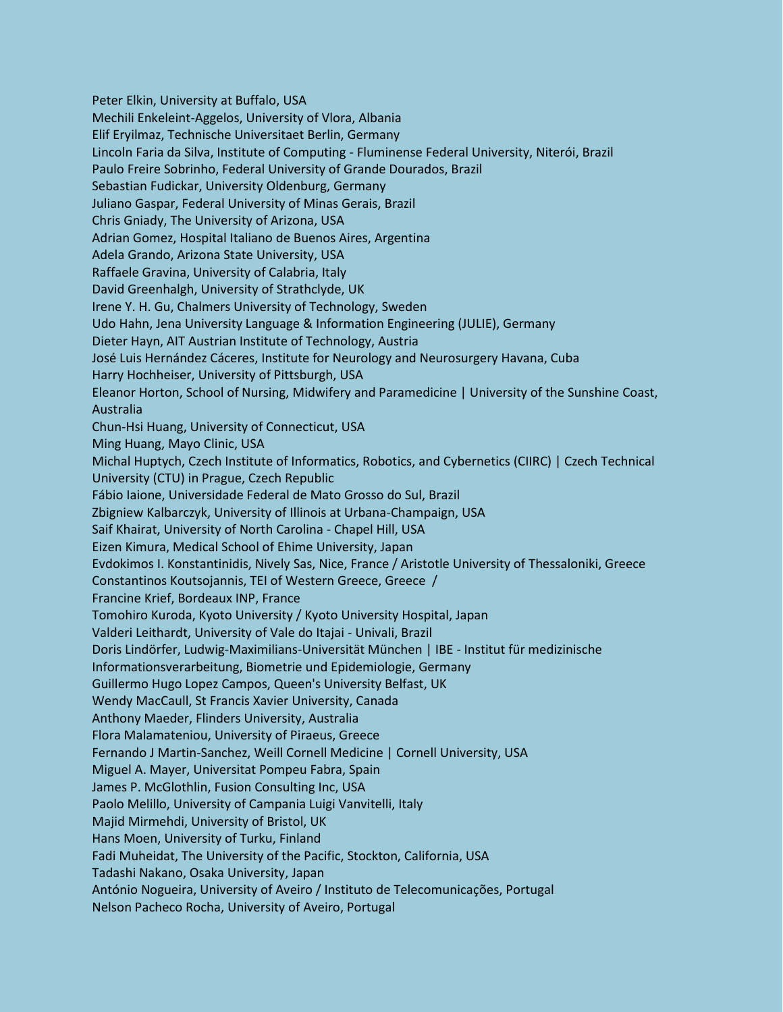Peter Elkin, University at Buffalo, USA Mechili Enkeleint-Aggelos, University of Vlora, Albania Elif Eryilmaz, Technische Universitaet Berlin, Germany Lincoln Faria da Silva, Institute of Computing - Fluminense Federal University, Niterói, Brazil Paulo Freire Sobrinho, Federal University of Grande Dourados, Brazil Sebastian Fudickar, University Oldenburg, Germany Juliano Gaspar, Federal University of Minas Gerais, Brazil Chris Gniady, The University of Arizona, USA Adrian Gomez, Hospital Italiano de Buenos Aires, Argentina Adela Grando, Arizona State University, USA Raffaele Gravina, University of Calabria, Italy David Greenhalgh, University of Strathclyde, UK Irene Y. H. Gu, Chalmers University of Technology, Sweden Udo Hahn, Jena University Language & Information Engineering (JULIE), Germany Dieter Hayn, AIT Austrian Institute of Technology, Austria José Luis Hernández Cáceres, Institute for Neurology and Neurosurgery Havana, Cuba Harry Hochheiser, University of Pittsburgh, USA Eleanor Horton, School of Nursing, Midwifery and Paramedicine | University of the Sunshine Coast, Australia Chun-Hsi Huang, University of Connecticut, USA Ming Huang, Mayo Clinic, USA Michal Huptych, Czech Institute of Informatics, Robotics, and Cybernetics (CIIRC) | Czech Technical University (CTU) in Prague, Czech Republic Fábio Iaione, Universidade Federal de Mato Grosso do Sul, Brazil Zbigniew Kalbarczyk, University of Illinois at Urbana-Champaign, USA Saif Khairat, University of North Carolina - Chapel Hill, USA Eizen Kimura, Medical School of Ehime University, Japan Evdokimos I. Konstantinidis, Nively Sas, Nice, France / Aristotle University of Thessaloniki, Greece Constantinos Koutsojannis, TEI of Western Greece, Greece / Francine Krief, Bordeaux INP, France Tomohiro Kuroda, Kyoto University / Kyoto University Hospital, Japan Valderi Leithardt, University of Vale do Itajai - Univali, Brazil Doris Lindörfer, Ludwig-Maximilians-Universität München | IBE - Institut für medizinische Informationsverarbeitung, Biometrie und Epidemiologie, Germany Guillermo Hugo Lopez Campos, Queen's University Belfast, UK Wendy MacCaull, St Francis Xavier University, Canada Anthony Maeder, Flinders University, Australia Flora Malamateniou, University of Piraeus, Greece Fernando J Martin-Sanchez, Weill Cornell Medicine | Cornell University, USA Miguel A. Mayer, Universitat Pompeu Fabra, Spain James P. McGlothlin, Fusion Consulting Inc, USA Paolo Melillo, University of Campania Luigi Vanvitelli, Italy Majid Mirmehdi, University of Bristol, UK Hans Moen, University of Turku, Finland Fadi Muheidat, The University of the Pacific, Stockton, California, USA Tadashi Nakano, Osaka University, Japan António Nogueira, University of Aveiro / Instituto de Telecomunicações, Portugal Nelson Pacheco Rocha, University of Aveiro, Portugal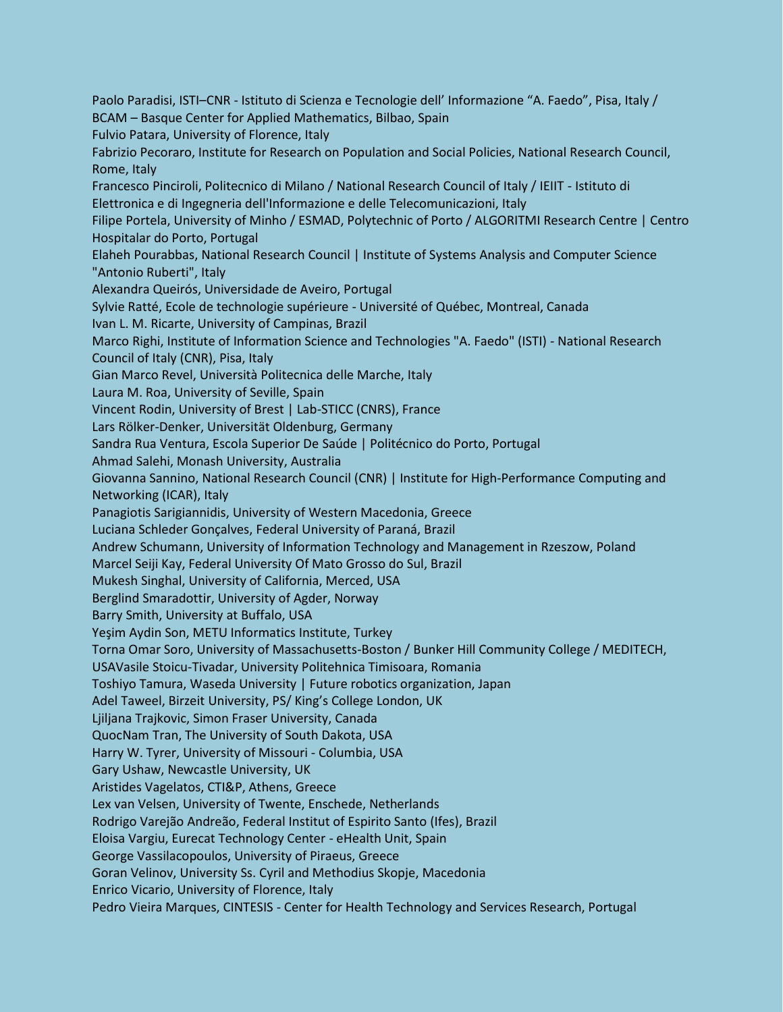Paolo Paradisi, ISTI–CNR - Istituto di Scienza e Tecnologie dell' Informazione "A. Faedo", Pisa, Italy / BCAM – Basque Center for Applied Mathematics, Bilbao, Spain Fulvio Patara, University of Florence, Italy Fabrizio Pecoraro, Institute for Research on Population and Social Policies, National Research Council, Rome, Italy Francesco Pinciroli, Politecnico di Milano / National Research Council of Italy / IEIIT - Istituto di Elettronica e di Ingegneria dell'Informazione e delle Telecomunicazioni, Italy Filipe Portela, University of Minho / ESMAD, Polytechnic of Porto / ALGORITMI Research Centre | Centro Hospitalar do Porto, Portugal Elaheh Pourabbas, National Research Council | Institute of Systems Analysis and Computer Science "Antonio Ruberti", Italy Alexandra Queirós, Universidade de Aveiro, Portugal Sylvie Ratté, Ecole de technologie supérieure - Université of Québec, Montreal, Canada Ivan L. M. Ricarte, University of Campinas, Brazil Marco Righi, Institute of Information Science and Technologies "A. Faedo" (ISTI) - National Research Council of Italy (CNR), Pisa, Italy Gian Marco Revel, Università Politecnica delle Marche, Italy Laura M. Roa, University of Seville, Spain Vincent Rodin, University of Brest | Lab-STICC (CNRS), France Lars Rölker-Denker, Universität Oldenburg, Germany Sandra Rua Ventura, Escola Superior De Saúde | Politécnico do Porto, Portugal Ahmad Salehi, Monash University, Australia Giovanna Sannino, National Research Council (CNR) | Institute for High-Performance Computing and Networking (ICAR), Italy Panagiotis Sarigiannidis, University of Western Macedonia, Greece Luciana Schleder Gonçalves, Federal University of Paraná, Brazil Andrew Schumann, University of Information Technology and Management in Rzeszow, Poland Marcel Seiji Kay, Federal University Of Mato Grosso do Sul, Brazil Mukesh Singhal, University of California, Merced, USA Berglind Smaradottir, University of Agder, Norway Barry Smith, University at Buffalo, USA Yeşim Aydin Son, METU Informatics Institute, Turkey Torna Omar Soro, University of Massachusetts-Boston / Bunker Hill Community College / MEDITECH, USAVasile Stoicu-Tivadar, University Politehnica Timisoara, Romania Toshiyo Tamura, Waseda University | Future robotics organization, Japan Adel Taweel, Birzeit University, PS/ King's College London, UK Ljiljana Trajkovic, Simon Fraser University, Canada QuocNam Tran, The University of South Dakota, USA Harry W. Tyrer, University of Missouri - Columbia, USA Gary Ushaw, Newcastle University, UK Aristides Vagelatos, CTI&P, Athens, Greece Lex van Velsen, University of Twente, Enschede, Netherlands Rodrigo Varejão Andreão, Federal Institut of Espirito Santo (Ifes), Brazil Eloisa Vargiu, Eurecat Technology Center - eHealth Unit, Spain George Vassilacopoulos, University of Piraeus, Greece Goran Velinov, University Ss. Cyril and Methodius Skopje, Macedonia Enrico Vicario, University of Florence, Italy Pedro Vieira Marques, CINTESIS - Center for Health Technology and Services Research, Portugal